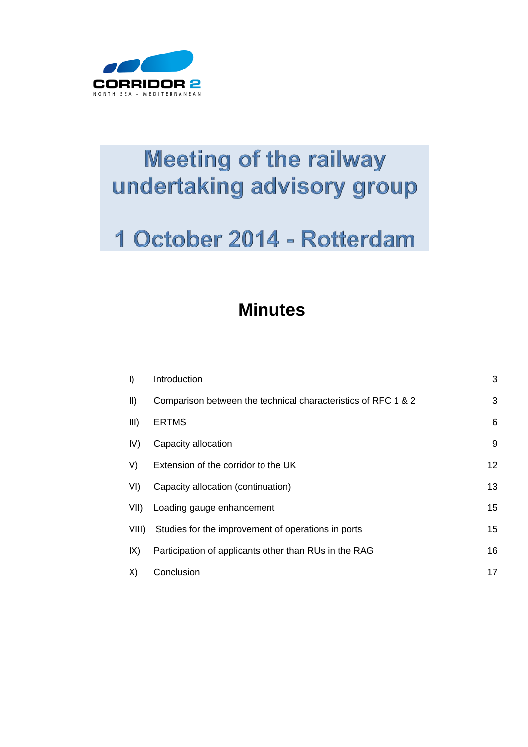

# **Meeting of the railway** undertaking advisory group

## 1 October 2014 - Rotterdam

## **Minutes**

| $\vert$     | Introduction                                                  | 3  |
|-------------|---------------------------------------------------------------|----|
| $\parallel$ | Comparison between the technical characteristics of RFC 1 & 2 | 3  |
| III)        | <b>ERTMS</b>                                                  | 6  |
| IV)         | Capacity allocation                                           | 9  |
| V)          | Extension of the corridor to the UK                           | 12 |
| VI)         | Capacity allocation (continuation)                            | 13 |
| VII)        | Loading gauge enhancement                                     | 15 |
| VIII).      | Studies for the improvement of operations in ports            | 15 |
| IX)         | Participation of applicants other than RUs in the RAG         | 16 |
| X)          | Conclusion                                                    | 17 |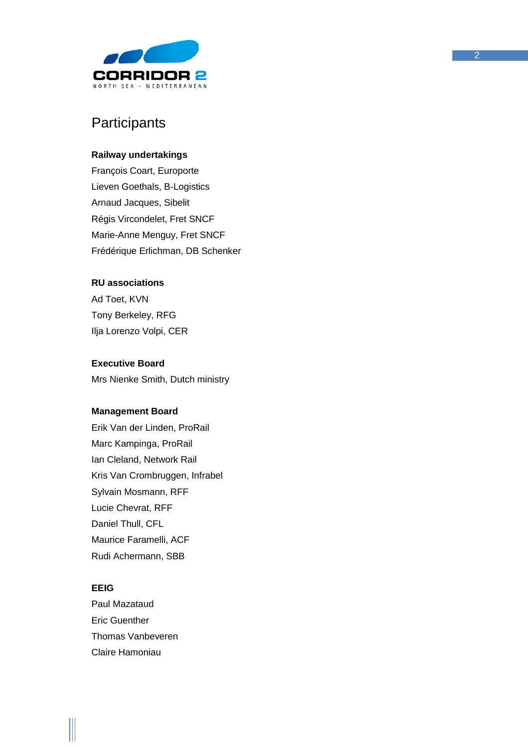

## **Participants**

#### **Railway undertakings**

François Coart, Europorte Lieven Goethals, B -Logistics Arnaud Jacques, Sibelit Régis Vircondelet, Fret SNCF Marie -Anne Menguy, Fret SNCF Frédérique Erlichman, DB Schenker

#### **RU associations**

Ad Toet, KVN Tony Berkeley, RFG Ilja Lorenzo Volpi, CER

#### **Executive Board**

Mrs Nienke Smith, Dutch ministry

#### **Management Board**

Erik Van der Linden, ProRail Marc Kampinga, ProRail Ian Cleland, Network Rail Kris Van Crombruggen, Infrabel Sylvain Mosmann, RFF Lucie Chevrat, RFF Daniel Thull, CFL Maurice Faramelli, ACF Rudi Achermann, SBB

#### **EEIG**

Paul Mazataud Eric Guenther Thomas Vanbeveren Claire Hamoniau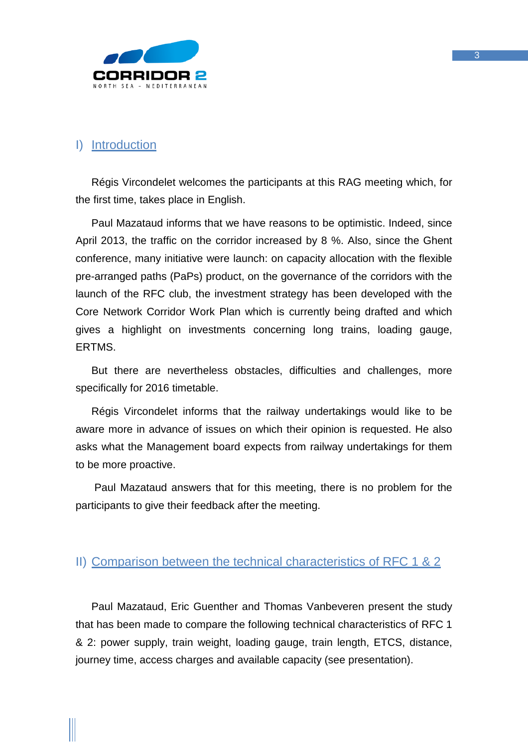

## <span id="page-2-0"></span>I) Introduction

Régis Vircondelet welcomes the participants at this RAG meeting which, for the first time, takes place in English.

Paul Mazataud informs that we have reasons to be optimistic. Indeed, since April 2013, the traffic on the corridor increased by 8 %. Also, since the Ghent conference, many initiative were launch: on capacity allocation with the flexible pre-arranged paths (PaPs) product, on the governance of the corridors with the launch of the RFC club, the investment strategy has been developed with the Core Network Corridor Work Plan which is currently being drafted and which gives a highlight on investments concerning long trains, loading gauge, ERTMS.

But there are nevertheless obstacles, difficulties and challenges, more specifically for 2016 timetable.

Régis Vircondelet informs that the railway undertakings would like to be aware more in advance of issues on which their opinion is requested. He also asks what the Management board expects from railway undertakings for them to be more proactive.

Paul Mazataud answers that for this meeting, there is no problem for the participants to give their feedback after the meeting.

## <span id="page-2-1"></span>II) Comparison between the technical characteristics of RFC 1 & 2

Paul Mazataud, Eric Guenther and Thomas Vanbeveren present the study that has been made to compare the following technical characteristics of RFC 1 & 2: power supply, train weight, loading gauge, train length, ETCS, distance, journey time, access charges and available capacity (see presentation).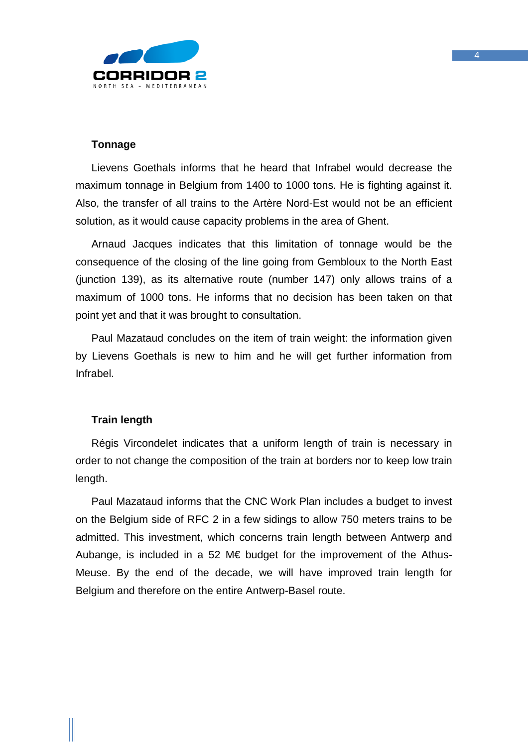

### **Tonnage**

Lievens Goethals informs that he heard that Infrabel would decrease the maximum tonnage in Belgium from 1400 to 1000 tons. He is fighting against it. Also, the transfer of all trains to the Artère Nord-Est would not be an efficient solution, as it would cause capacity problems in the area of Ghent.

Arnaud Jacques indicates that this limitation of tonnage would be the consequence of the closing of the line going from Gembloux to the North East (junction 139), as its alternative route (number 147) only allows trains of a maximum of 1000 tons. He informs that no decision has been taken on that point yet and that it was brought to consultation.

Paul Mazataud concludes on the item of train weight: the information given by Lievens Goethals is new to him and he will get further information from Infrabel.

## **Train length**

Régis Vircondelet indicates that a uniform length of train is necessary in order to not change the composition of the train at borders nor to keep low train length.

Paul Mazataud informs that the CNC Work Plan includes a budget to invest on the Belgium side of RFC 2 in a few sidings to allow 750 meters trains to be admitted. This investment, which concerns train length between Antwerp and Aubange, is included in a 52 M $\epsilon$  budget for the improvement of the Athus-Meuse. By the end of the decade, we will have improved train length for Belgium and therefore on the entire Antwerp-Basel route.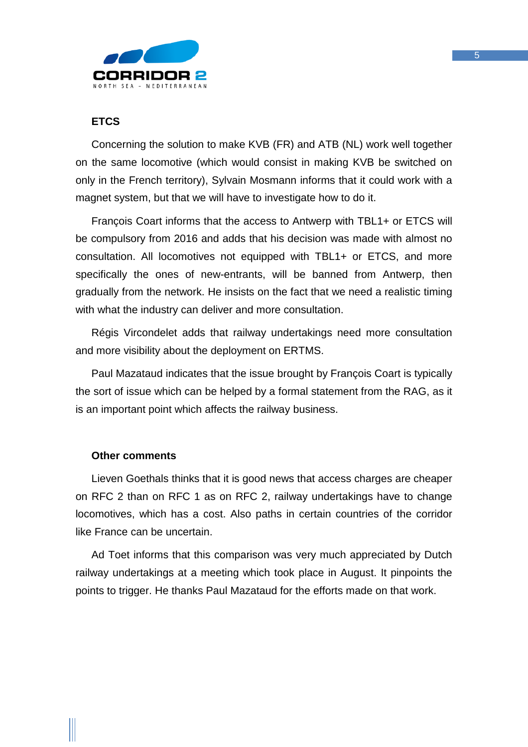

## **ETCS**

Concerning the solution to make KVB (FR) and ATB (NL) work well together on the same locomotive (which would consist in making KVB be switched on only in the French territory), Sylvain Mosmann informs that it could work with a magnet system, but that we will have to investigate how to do it.

François Coart informs that the access to Antwerp with TBL1+ or ETCS will be compulsory from 2016 and adds that his decision was made with almost no consultation. All locomotives not equipped with TBL1+ or ETCS, and more specifically the ones of new-entrants, will be banned from Antwerp, then gradually from the network. He insists on the fact that we need a realistic timing with what the industry can deliver and more consultation.

Régis Vircondelet adds that railway undertakings need more consultation and more visibility about the deployment on ERTMS.

Paul Mazataud indicates that the issue brought by François Coart is typically the sort of issue which can be helped by a formal statement from the RAG, as it is an important point which affects the railway business.

#### **Other comments**

Lieven Goethals thinks that it is good news that access charges are cheaper on RFC 2 than on RFC 1 as on RFC 2, railway undertakings have to change locomotives, which has a cost. Also paths in certain countries of the corridor like France can be uncertain.

Ad Toet informs that this comparison was very much appreciated by Dutch railway undertakings at a meeting which took place in August. It pinpoints the points to trigger. He thanks Paul Mazataud for the efforts made on that work.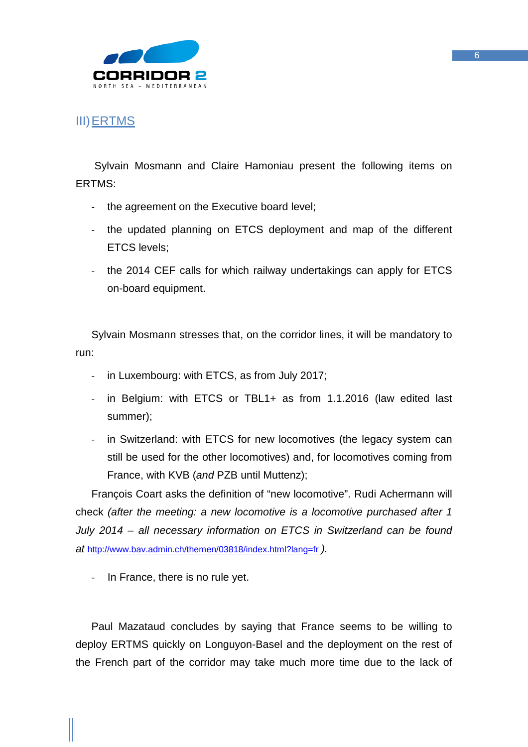

## <span id="page-5-0"></span>III)ERTMS

Sylvain Mosmann and Claire Hamoniau present the following items on ERTMS:

- the agreement on the Executive board level;
- the updated planning on ETCS deployment and map of the different ETCS levels;
- the 2014 CEF calls for which railway undertakings can apply for ETCS on-board equipment.

Sylvain Mosmann stresses that, on the corridor lines, it will be mandatory to run:

- in Luxembourg: with ETCS, as from July 2017;
- in Belgium: with ETCS or TBL1+ as from 1.1.2016 (law edited last summer);
- in Switzerland: with ETCS for new locomotives (the legacy system can still be used for the other locomotives) and, for locomotives coming from France, with KVB (*and* PZB until Muttenz);

François Coart asks the definition of "new locomotive". Rudi Achermann will check *(after the meeting: a new locomotive is a locomotive purchased after 1 July 2014 – all necessary information on ETCS in Switzerland can be found at* <http://www.bav.admin.ch/themen/03818/index.html?lang=fr> *).*

- In France, there is no rule yet.

Paul Mazataud concludes by saying that France seems to be willing to deploy ERTMS quickly on Longuyon-Basel and the deployment on the rest of the French part of the corridor may take much more time due to the lack of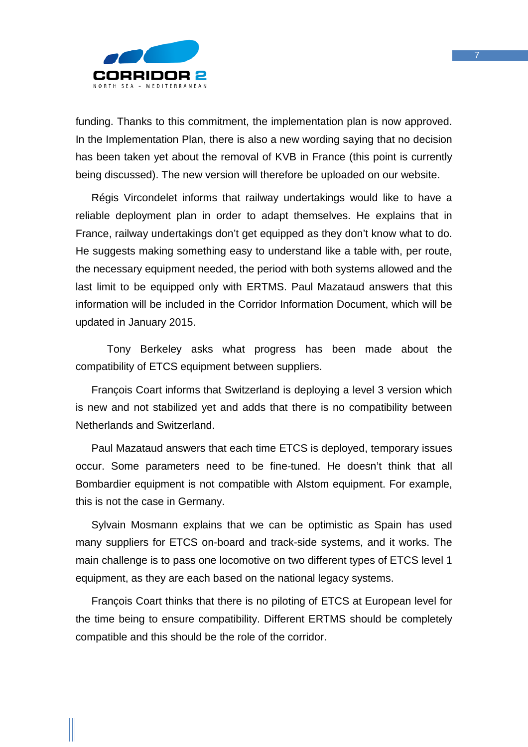

funding. Thanks to this commitment, the implementation plan is now approved. In the Implementation Plan, there is also a new wording saying that no decision has been taken yet about the removal of KVB in France (this point is currently being discussed). The new version will therefore be uploaded on our website.

Régis Vircondelet informs that railway undertakings would like to have a reliable deployment plan in order to adapt themselves. He explains that in France, railway undertakings don't get equipped as they don't know what to do. He suggests making something easy to understand like a table with, per route, the necessary equipment needed, the period with both systems allowed and the last limit to be equipped only with ERTMS. Paul Mazataud answers that this information will be included in the Corridor Information Document, which will be updated in January 2015.

Tony Berkeley asks what progress has been made about the compatibility of ETCS equipment between suppliers.

François Coart informs that Switzerland is deploying a level 3 version which is new and not stabilized yet and adds that there is no compatibility between Netherlands and Switzerland.

Paul Mazataud answers that each time ETCS is deployed, temporary issues occur. Some parameters need to be fine-tuned. He doesn't think that all Bombardier equipment is not compatible with Alstom equipment. For example, this is not the case in Germany.

Sylvain Mosmann explains that we can be optimistic as Spain has used many suppliers for ETCS on-board and track-side systems, and it works. The main challenge is to pass one locomotive on two different types of ETCS level 1 equipment, as they are each based on the national legacy systems.

François Coart thinks that there is no piloting of ETCS at European level for the time being to ensure compatibility. Different ERTMS should be completely compatible and this should be the role of the corridor.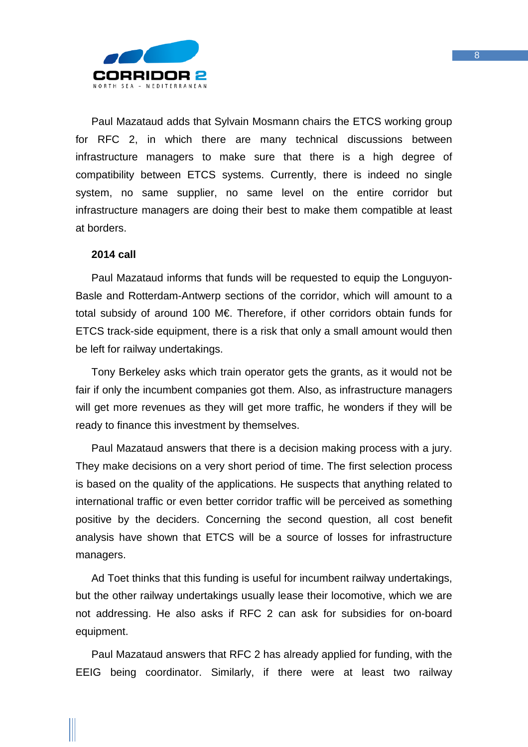

Paul Mazataud adds that Sylvain Mosmann chairs the ETCS working group for RFC 2, in which there are many technical discussions between infrastructure managers to make sure that there is a high degree of compatibility between ETCS systems. Currently, there is indeed no single system, no same supplier, no same level on the entire corridor but infrastructure managers are doing their best to make them compatible at least at borders.

#### **2014 call**

Paul Mazataud informs that funds will be requested to equip the Longuyon-Basle and Rotterdam-Antwerp sections of the corridor, which will amount to a total subsidy of around 100 M€. Therefore, if other corridors obtain funds for ETCS track-side equipment, there is a risk that only a small amount would then be left for railway undertakings.

Tony Berkeley asks which train operator gets the grants, as it would not be fair if only the incumbent companies got them. Also, as infrastructure managers will get more revenues as they will get more traffic, he wonders if they will be ready to finance this investment by themselves.

Paul Mazataud answers that there is a decision making process with a jury. They make decisions on a very short period of time. The first selection process is based on the quality of the applications. He suspects that anything related to international traffic or even better corridor traffic will be perceived as something positive by the deciders. Concerning the second question, all cost benefit analysis have shown that ETCS will be a source of losses for infrastructure managers.

Ad Toet thinks that this funding is useful for incumbent railway undertakings, but the other railway undertakings usually lease their locomotive, which we are not addressing. He also asks if RFC 2 can ask for subsidies for on-board equipment.

Paul Mazataud answers that RFC 2 has already applied for funding, with the EEIG being coordinator. Similarly, if there were at least two railway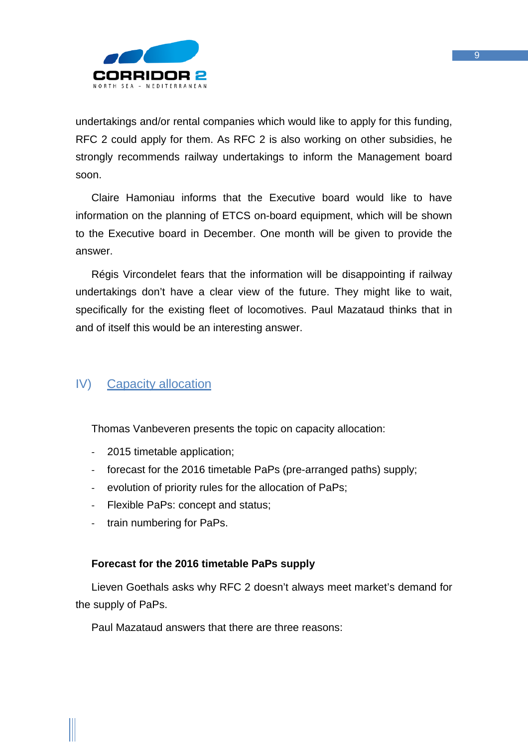

undertakings and/or rental companies which would like to apply for this funding, RFC 2 could apply for them. As RFC 2 is also working on other subsidies, he strongly recommends railway undertakings to inform the Management board soon.

Claire Hamoniau informs that the Executive board would like to have information on the planning of ETCS on-board equipment, which will be shown to the Executive board in December. One month will be given to provide the answer.

Régis Vircondelet fears that the information will be disappointing if railway undertakings don't have a clear view of the future. They might like to wait, specifically for the existing fleet of locomotives. Paul Mazataud thinks that in and of itself this would be an interesting answer.

## <span id="page-8-0"></span>IV) Capacity allocation

Thomas Vanbeveren presents the topic on capacity allocation:

- 2015 timetable application;
- forecast for the 2016 timetable PaPs (pre-arranged paths) supply;
- evolution of priority rules for the allocation of PaPs;
- Flexible PaPs: concept and status;
- train numbering for PaPs.

## **Forecast for the 2016 timetable PaPs supply**

Lieven Goethals asks why RFC 2 doesn't always meet market's demand for the supply of PaPs.

Paul Mazataud answers that there are three reasons: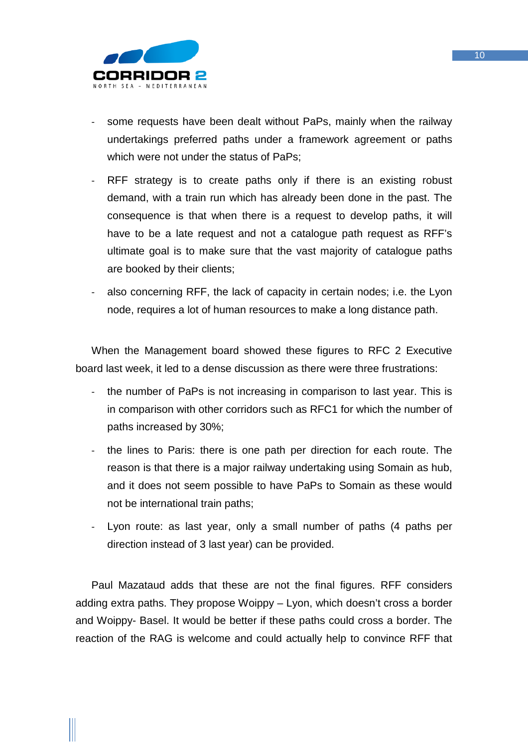

- some requests have been dealt without PaPs, mainly when the railway undertakings preferred paths under a framework agreement or paths which were not under the status of PaPs:
- RFF strategy is to create paths only if there is an existing robust demand, with a train run which has already been done in the past. The consequence is that when there is a request to develop paths, it will have to be a late request and not a catalogue path request as RFF's ultimate goal is to make sure that the vast majority of catalogue paths are booked by their clients;
- also concerning RFF, the lack of capacity in certain nodes; i.e. the Lyon node, requires a lot of human resources to make a long distance path.

When the Management board showed these figures to RFC 2 Executive board last week, it led to a dense discussion as there were three frustrations:

- the number of PaPs is not increasing in comparison to last year. This is in comparison with other corridors such as RFC1 for which the number of paths increased by 30%;
- the lines to Paris: there is one path per direction for each route. The reason is that there is a major railway undertaking using Somain as hub, and it does not seem possible to have PaPs to Somain as these would not be international train paths;
- Lyon route: as last year, only a small number of paths (4 paths per direction instead of 3 last year) can be provided.

Paul Mazataud adds that these are not the final figures. RFF considers adding extra paths. They propose Woippy – Lyon, which doesn't cross a border and Woippy- Basel. It would be better if these paths could cross a border. The reaction of the RAG is welcome and could actually help to convince RFF that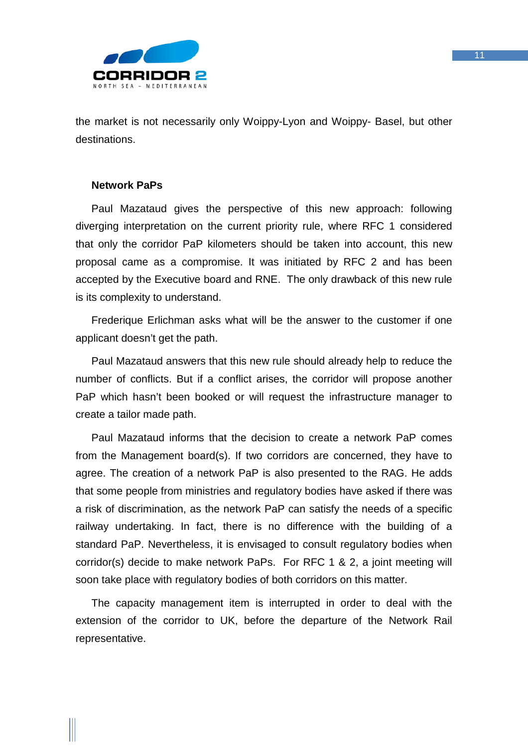

the market is not necessarily only Woippy-Lyon and Woippy- Basel, but other destinations.

#### **Network PaPs**

Paul Mazataud gives the perspective of this new approach: following diverging interpretation on the current priority rule, where RFC 1 considered that only the corridor PaP kilometers should be taken into account, this new proposal came as a compromise. It was initiated by RFC 2 and has been accepted by the Executive board and RNE. The only drawback of this new rule is its complexity to understand.

Frederique Erlichman asks what will be the answer to the customer if one applicant doesn't get the path.

Paul Mazataud answers that this new rule should already help to reduce the number of conflicts. But if a conflict arises, the corridor will propose another PaP which hasn't been booked or will request the infrastructure manager to create a tailor made path.

Paul Mazataud informs that the decision to create a network PaP comes from the Management board(s). If two corridors are concerned, they have to agree. The creation of a network PaP is also presented to the RAG. He adds that some people from ministries and regulatory bodies have asked if there was a risk of discrimination, as the network PaP can satisfy the needs of a specific railway undertaking. In fact, there is no difference with the building of a standard PaP. Nevertheless, it is envisaged to consult regulatory bodies when corridor(s) decide to make network PaPs. For RFC 1 & 2, a joint meeting will soon take place with regulatory bodies of both corridors on this matter.

The capacity management item is interrupted in order to deal with the extension of the corridor to UK, before the departure of the Network Rail representative.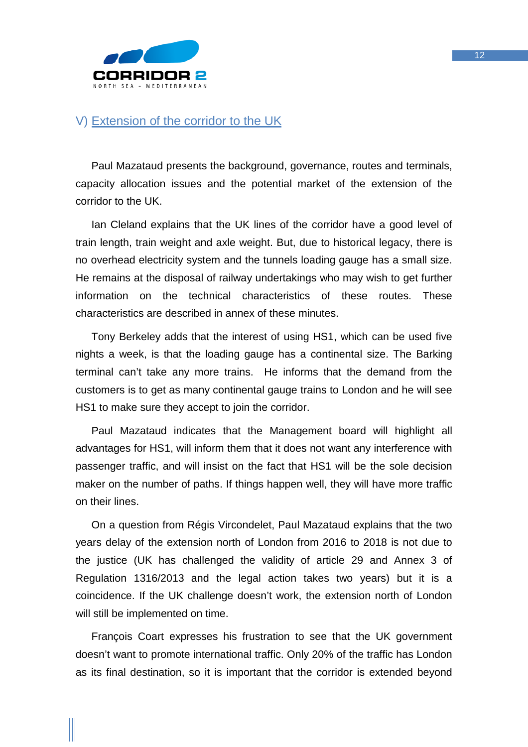

## <span id="page-11-0"></span>V) Extension of the corridor to the UK

Paul Mazataud presents the background, governance, routes and terminals, capacity allocation issues and the potential market of the extension of the corridor to the UK.

Ian Cleland explains that the UK lines of the corridor have a good level of train length, train weight and axle weight. But, due to historical legacy, there is no overhead electricity system and the tunnels loading gauge has a small size. He remains at the disposal of railway undertakings who may wish to get further information on the technical characteristics of these routes. These characteristics are described in annex of these minutes.

Tony Berkeley adds that the interest of using HS1, which can be used five nights a week, is that the loading gauge has a continental size. The Barking terminal can't take any more trains. He informs that the demand from the customers is to get as many continental gauge trains to London and he will see HS1 to make sure they accept to join the corridor.

Paul Mazataud indicates that the Management board will highlight all advantages for HS1, will inform them that it does not want any interference with passenger traffic, and will insist on the fact that HS1 will be the sole decision maker on the number of paths. If things happen well, they will have more traffic on their lines.

On a question from Régis Vircondelet, Paul Mazataud explains that the two years delay of the extension north of London from 2016 to 2018 is not due to the justice (UK has challenged the validity of article 29 and Annex 3 of Regulation 1316/2013 and the legal action takes two years) but it is a coincidence. If the UK challenge doesn't work, the extension north of London will still be implemented on time.

François Coart expresses his frustration to see that the UK government doesn't want to promote international traffic. Only 20% of the traffic has London as its final destination, so it is important that the corridor is extended beyond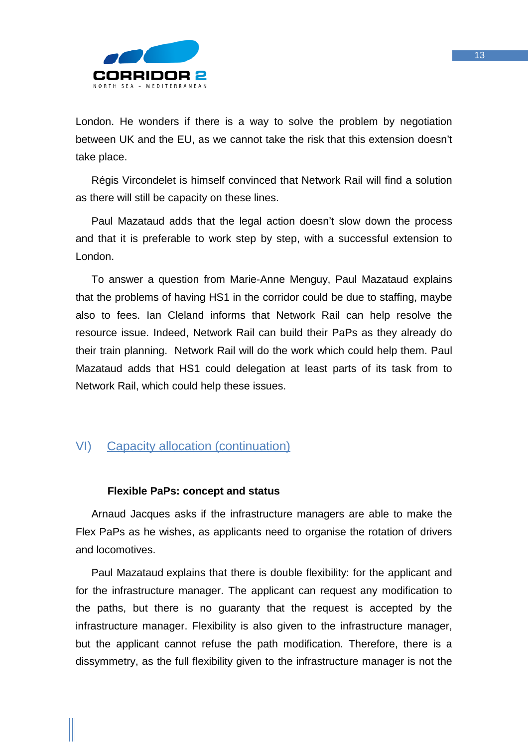

London. He wonders if there is a way to solve the problem by negotiation between UK and the EU, as we cannot take the risk that this extension doesn't take place.

Régis Vircondelet is himself convinced that Network Rail will find a solution as there will still be capacity on these lines.

Paul Mazataud adds that the legal action doesn't slow down the process and that it is preferable to work step by step, with a successful extension to London.

To answer a question from Marie-Anne Menguy, Paul Mazataud explains that the problems of having HS1 in the corridor could be due to staffing, maybe also to fees. Ian Cleland informs that Network Rail can help resolve the resource issue. Indeed, Network Rail can build their PaPs as they already do their train planning. Network Rail will do the work which could help them. Paul Mazataud adds that HS1 could delegation at least parts of its task from to Network Rail, which could help these issues.

## <span id="page-12-0"></span>VI) Capacity allocation (continuation)

## **Flexible PaPs: concept and status**

Arnaud Jacques asks if the infrastructure managers are able to make the Flex PaPs as he wishes, as applicants need to organise the rotation of drivers and locomotives.

Paul Mazataud explains that there is double flexibility: for the applicant and for the infrastructure manager. The applicant can request any modification to the paths, but there is no guaranty that the request is accepted by the infrastructure manager. Flexibility is also given to the infrastructure manager, but the applicant cannot refuse the path modification. Therefore, there is a dissymmetry, as the full flexibility given to the infrastructure manager is not the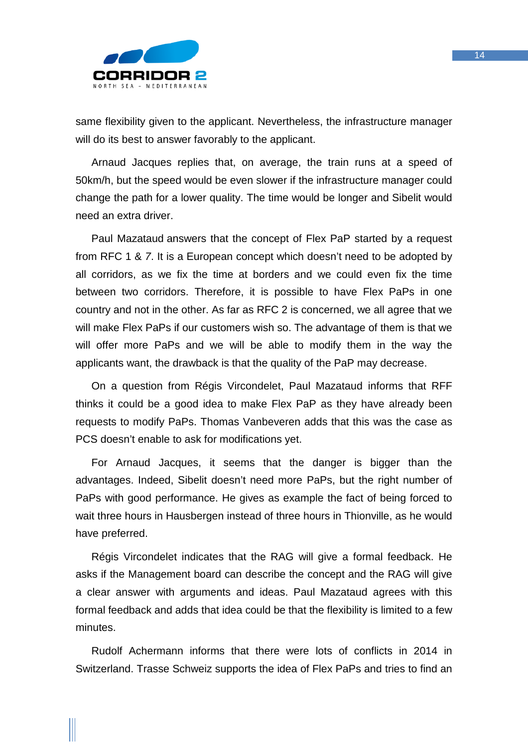

same flexibility given to the applicant. Nevertheless, the infrastructure manager will do its best to answer favorably to the applicant.

Arnaud Jacques replies that, on average, the train runs at a speed of 50km/h, but the speed would be even slower if the infrastructure manager could change the path for a lower quality. The time would be longer and Sibelit would need an extra driver.

Paul Mazataud answers that the concept of Flex PaP started by a request from RFC 1 & *7*. It is a European concept which doesn't need to be adopted by all corridors, as we fix the time at borders and we could even fix the time between two corridors. Therefore, it is possible to have Flex PaPs in one country and not in the other. As far as RFC 2 is concerned, we all agree that we will make Flex PaPs if our customers wish so. The advantage of them is that we will offer more PaPs and we will be able to modify them in the way the applicants want, the drawback is that the quality of the PaP may decrease.

On a question from Régis Vircondelet, Paul Mazataud informs that RFF thinks it could be a good idea to make Flex PaP as they have already been requests to modify PaPs. Thomas Vanbeveren adds that this was the case as PCS doesn't enable to ask for modifications yet.

For Arnaud Jacques, it seems that the danger is bigger than the advantages. Indeed, Sibelit doesn't need more PaPs, but the right number of PaPs with good performance. He gives as example the fact of being forced to wait three hours in Hausbergen instead of three hours in Thionville, as he would have preferred.

Régis Vircondelet indicates that the RAG will give a formal feedback. He asks if the Management board can describe the concept and the RAG will give a clear answer with arguments and ideas. Paul Mazataud agrees with this formal feedback and adds that idea could be that the flexibility is limited to a few minutes.

Rudolf Achermann informs that there were lots of conflicts in 2014 in Switzerland. Trasse Schweiz supports the idea of Flex PaPs and tries to find an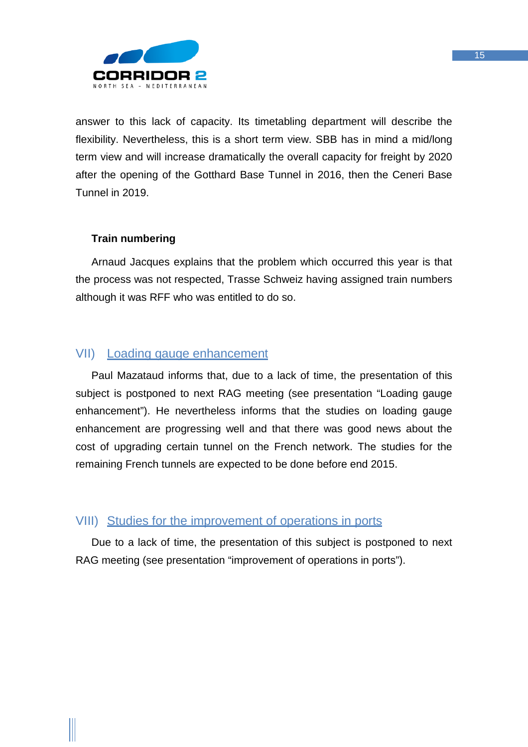

answer to this lack of capacity. Its timetabling department will describe the flexibility. Nevertheless, this is a short term view. SBB has in mind a mid/long term view and will increase dramatically the overall capacity for freight by 2020 after the opening of the Gotthard Base Tunnel in 2016, then the Ceneri Base Tunnel in 2019.

## **Train numbering**

Arnaud Jacques explains that the problem which occurred this year is that the process was not respected, Trasse Schweiz having assigned train numbers although it was RFF who was entitled to do so.

## <span id="page-14-0"></span>VII) Loading gauge enhancement

Paul Mazataud informs that, due to a lack of time, the presentation of this subject is postponed to next RAG meeting (see presentation "Loading gauge enhancement"). He nevertheless informs that the studies on loading gauge enhancement are progressing well and that there was good news about the cost of upgrading certain tunnel on the French network. The studies for the remaining French tunnels are expected to be done before end 2015.

## <span id="page-14-1"></span>VIII) Studies for the improvement of operations in ports

Due to a lack of time, the presentation of this subject is postponed to next RAG meeting (see presentation "improvement of operations in ports").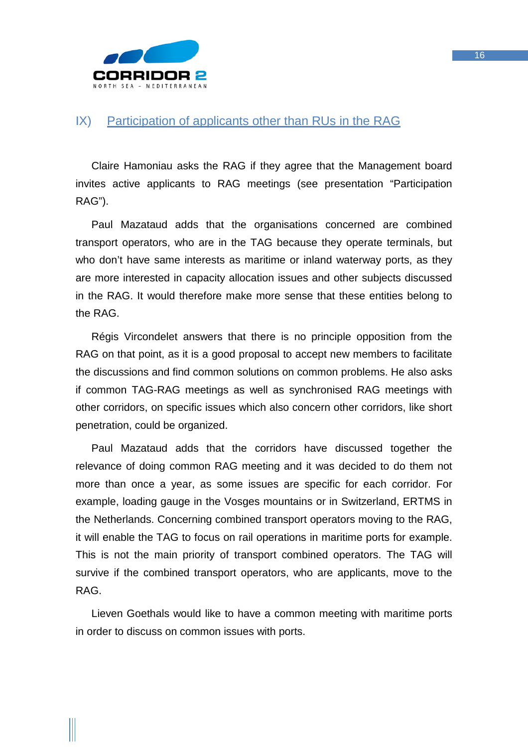

## <span id="page-15-0"></span>IX) Participation of applicants other than RUs in the RAG

Claire Hamoniau asks the RAG if they agree that the Management board invites active applicants to RAG meetings (see presentation "Participation RAG").

Paul Mazataud adds that the organisations concerned are combined transport operators, who are in the TAG because they operate terminals, but who don't have same interests as maritime or inland waterway ports, as they are more interested in capacity allocation issues and other subjects discussed in the RAG. It would therefore make more sense that these entities belong to the RAG.

Régis Vircondelet answers that there is no principle opposition from the RAG on that point, as it is a good proposal to accept new members to facilitate the discussions and find common solutions on common problems. He also asks if common TAG-RAG meetings as well as synchronised RAG meetings with other corridors, on specific issues which also concern other corridors, like short penetration, could be organized.

Paul Mazataud adds that the corridors have discussed together the relevance of doing common RAG meeting and it was decided to do them not more than once a year, as some issues are specific for each corridor. For example, loading gauge in the Vosges mountains or in Switzerland, ERTMS in the Netherlands. Concerning combined transport operators moving to the RAG, it will enable the TAG to focus on rail operations in maritime ports for example. This is not the main priority of transport combined operators. The TAG will survive if the combined transport operators, who are applicants, move to the RAG.

Lieven Goethals would like to have a common meeting with maritime ports in order to discuss on common issues with ports.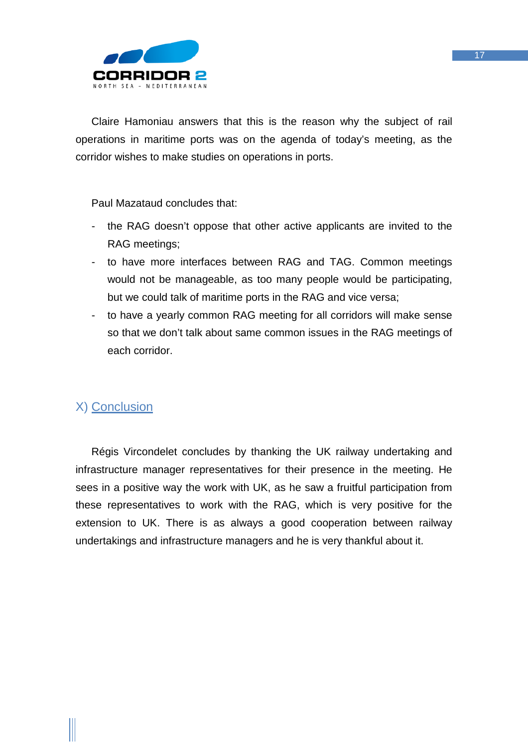

Claire Hamoniau answers that this is the reason why the subject of rail operations in maritime ports was on the agenda of today's meeting, as the corridor wishes to make studies on operations in ports.

Paul Mazataud concludes that:

- the RAG doesn't oppose that other active applicants are invited to the RAG meetings;
- to have more interfaces between RAG and TAG. Common meetings would not be manageable, as too many people would be participating, but we could talk of maritime ports in the RAG and vice versa;
- to have a yearly common RAG meeting for all corridors will make sense so that we don't talk about same common issues in the RAG meetings of each corridor.

## <span id="page-16-0"></span>X) Conclusion

Régis Vircondelet concludes by thanking the UK railway undertaking and infrastructure manager representatives for their presence in the meeting. He sees in a positive way the work with UK, as he saw a fruitful participation from these representatives to work with the RAG, which is very positive for the extension to UK. There is as always a good cooperation between railway undertakings and infrastructure managers and he is very thankful about it.